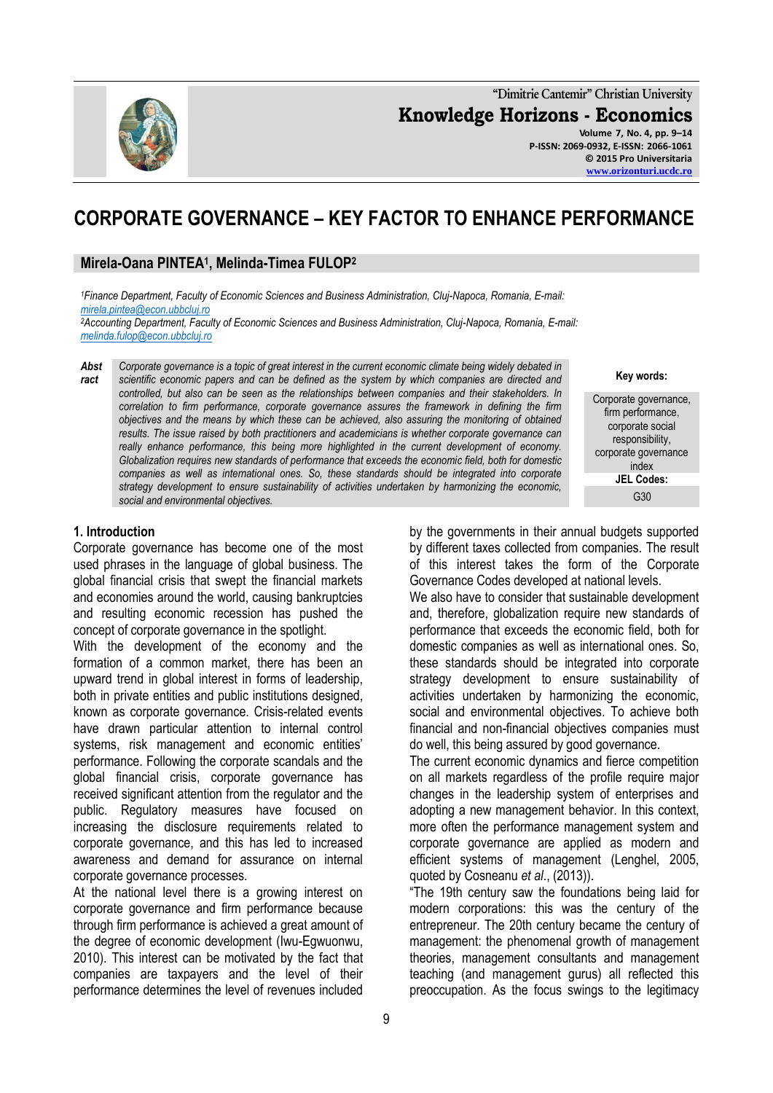**"Dimitrie Cantemir" Christian University Knowledge Horizons - Economics Volume 7, No. 4, pp. 9–14 P-ISSN: 2069-0932, E-ISSN: 2066-1061**

# **CORPORATE GOVERNANCE – KEY FACTOR TO ENHANCE PERFORMANCE**

## **Mirela-Oana PINTEA<sup>1</sup> , Melinda-Timea FULOP<sup>2</sup>**

*<sup>1</sup>Finance Department, Faculty of Economic Sciences and Business Administration, Cluj-Napoca, Romania, E-mail: [mirela.pintea@econ.ubbcluj.ro](mailto:mirela.pintea@econ.ubbcluj.ro)*

*<sup>2</sup>Accounting Department, Faculty of Economic Sciences and Business Administration, Cluj-Napoca, Romania, E-mail: [melinda.fulop@econ.ubbcluj.ro](mailto:melinda.fulop@econ.ubbcluj.ro)*

*Abst ract Corporate governance is a topic of great interest in the current economic climate being widely debated in scientific economic papers and can be defined as the system by which companies are directed and controlled, but also can be seen as the relationships between companies and their stakeholders. In correlation to firm performance, corporate governance assures the framework in defining the firm objectives and the means by which these can be achieved, also assuring the monitoring of obtained results. The issue raised by both practitioners and academicians is whether corporate governance can*  really enhance performance, this being more highlighted in the current development of economy. *Globalization requires new standards of performance that exceeds the economic field, both for domestic companies as well as international ones. So, these standards should be integrated into corporate strategy development to ensure sustainability of activities undertaken by harmonizing the economic, social and environmental objectives.* 

#### **1. Introduction**

Corporate governance has become one of the most used phrases in the language of global business. The global financial crisis that swept the financial markets and economies around the world, causing bankruptcies and resulting economic recession has pushed the concept of corporate governance in the spotlight.

With the development of the economy and the formation of a common market, there has been an upward trend in global interest in forms of leadership, both in private entities and public institutions designed, known as corporate governance. Crisis-related events have drawn particular attention to internal control systems, risk management and economic entities' performance. Following the corporate scandals and the global financial crisis, corporate governance has received significant attention from the regulator and the public. Regulatory measures have focused on increasing the disclosure requirements related to corporate governance, and this has led to increased awareness and demand for assurance on internal corporate governance processes.

At the national level there is a growing interest on corporate governance and firm performance because through firm performance is achieved a great amount of the degree of economic development (Iwu-Egwuonwu, 2010). This interest can be motivated by the fact that companies are taxpayers and the level of their performance determines the level of revenues included

**Key words:**

Corporate governance, firm performance, corporate social responsibility, corporate governance index **JEL Codes:** G<sub>30</sub>

by the governments in their annual budgets supported by different taxes collected from companies. The result of this interest takes the form of the Corporate Governance Codes developed at national levels.

We also have to consider that sustainable development and, therefore, globalization require new standards of performance that exceeds the economic field, both for domestic companies as well as international ones. So, these standards should be integrated into corporate strategy development to ensure sustainability of activities undertaken by harmonizing the economic, social and environmental objectives. To achieve both financial and non-financial objectives companies must do well, this being assured by good governance.

The current economic dynamics and fierce competition on all markets regardless of the profile require major changes in the leadership system of enterprises and adopting a new management behavior. In this context, more often the performance management system and corporate governance are applied as modern and efficient systems of management (Lenghel, 2005, quoted by Cosneanu *et al*., (2013)).

"The 19th century saw the foundations being laid for modern corporations: this was the century of the entrepreneur. The 20th century became the century of management: the phenomenal growth of management theories, management consultants and management teaching (and management gurus) all reflected this preoccupation. As the focus swings to the legitimacy

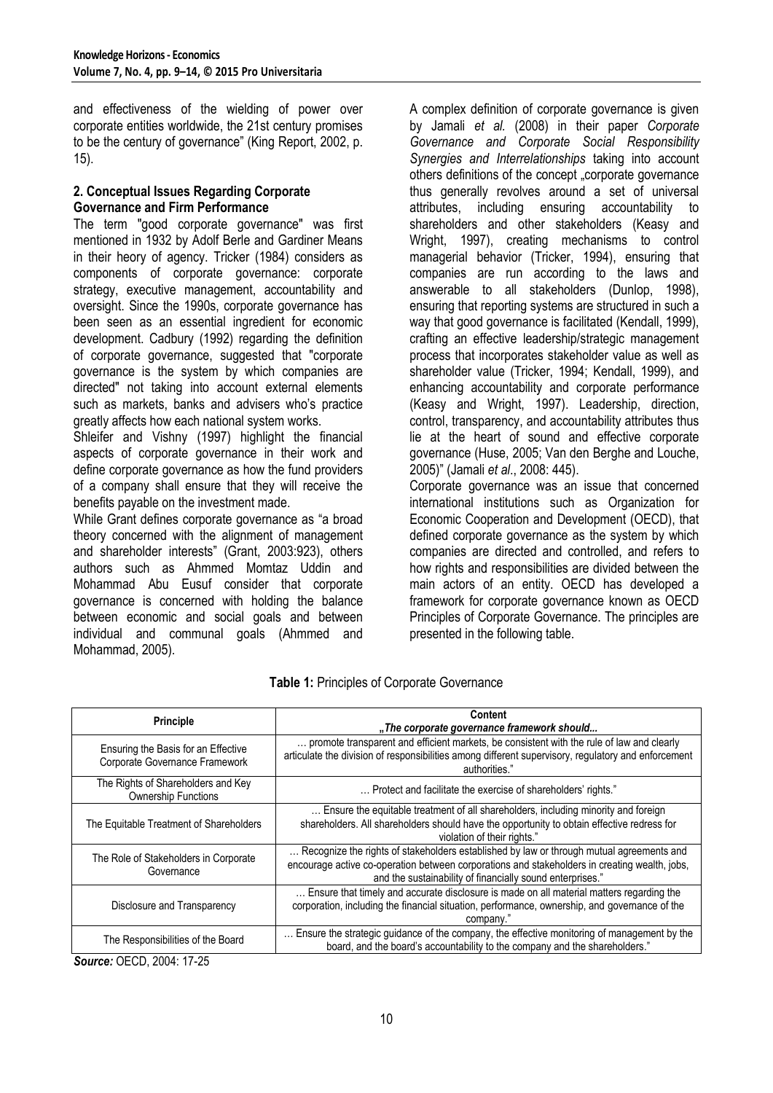and effectiveness of the wielding of power over corporate entities worldwide, the 21st century promises to be the century of governance" (King Report, 2002, p. 15).

#### **2. Conceptual Issues Regarding Corporate Governance and Firm Performance**

The term "good corporate governance" was first mentioned in 1932 by Adolf Berle and Gardiner Means in their heory of agency. Tricker (1984) considers as components of corporate governance: corporate strategy, executive management, accountability and oversight. Since the 1990s, corporate governance has been seen as an essential ingredient for economic development. Cadbury (1992) regarding the definition of corporate governance, suggested that "corporate governance is the system by which companies are directed" not taking into account external elements such as markets, banks and advisers who's practice greatly affects how each national system works.

Shleifer and Vishny (1997) highlight the financial aspects of corporate governance in their work and define corporate governance as how the fund providers of a company shall ensure that they will receive the benefits payable on the investment made.

While Grant defines corporate governance as "a broad theory concerned with the alignment of management and shareholder interests" (Grant, 2003:923), others authors such as Ahmmed Momtaz Uddin and Mohammad Abu Eusuf consider that corporate governance is concerned with holding the balance between economic and social goals and between individual and communal goals (Ahmmed and Mohammad, 2005).

A complex definition of corporate governance is given by Jamali *et al.* (2008) in their paper *Corporate Governance and Corporate Social Responsibility Synergies and Interrelationships* taking into account others definitions of the concept "corporate governance thus generally revolves around a set of universal attributes, including ensuring accountability to shareholders and other stakeholders (Keasy and Wright, 1997), creating mechanisms to control managerial behavior (Tricker, 1994), ensuring that companies are run according to the laws and answerable to all stakeholders (Dunlop, 1998), ensuring that reporting systems are structured in such a way that good governance is facilitated (Kendall, 1999), crafting an effective leadership/strategic management process that incorporates stakeholder value as well as shareholder value (Tricker, 1994; Kendall, 1999), and enhancing accountability and corporate performance (Keasy and Wright, 1997). Leadership, direction, control, transparency, and accountability attributes thus lie at the heart of sound and effective corporate governance (Huse, 2005; Van den Berghe and Louche, 2005)" (Jamali *et al*., 2008: 445).

Corporate governance was an issue that concerned international institutions such as Organization for Economic Cooperation and Development (OECD), that defined corporate governance as the system by which companies are directed and controlled, and refers to how rights and responsibilities are divided between the main actors of an entity. OECD has developed a framework for corporate governance known as OECD Principles of Corporate Governance. The principles are presented in the following table.

| <b>Principle</b>                                                      | <b>Content</b>                                                                                                                                                                                                                                         |  |
|-----------------------------------------------------------------------|--------------------------------------------------------------------------------------------------------------------------------------------------------------------------------------------------------------------------------------------------------|--|
|                                                                       | "The corporate governance framework should                                                                                                                                                                                                             |  |
| Ensuring the Basis for an Effective<br>Corporate Governance Framework | promote transparent and efficient markets, be consistent with the rule of law and clearly<br>articulate the division of responsibilities among different supervisory, regulatory and enforcement<br>authorities."                                      |  |
| The Rights of Shareholders and Key<br><b>Ownership Functions</b>      | Protect and facilitate the exercise of shareholders' rights."                                                                                                                                                                                          |  |
| The Equitable Treatment of Shareholders                               | Ensure the equitable treatment of all shareholders, including minority and foreign<br>shareholders. All shareholders should have the opportunity to obtain effective redress for<br>violation of their rights."                                        |  |
| The Role of Stakeholders in Corporate<br>Governance                   | Recognize the rights of stakeholders established by law or through mutual agreements and<br>encourage active co-operation between corporations and stakeholders in creating wealth, jobs,<br>and the sustainability of financially sound enterprises." |  |
| Disclosure and Transparency                                           | Ensure that timely and accurate disclosure is made on all material matters regarding the<br>corporation, including the financial situation, performance, ownership, and governance of the<br>company."                                                 |  |
| The Responsibilities of the Board                                     | Ensure the strategic guidance of the company, the effective monitoring of management by the<br>board, and the board's accountability to the company and the shareholders."                                                                             |  |

**Table 1:** Principles of Corporate Governance

*Source:* OECD, 2004: 17-25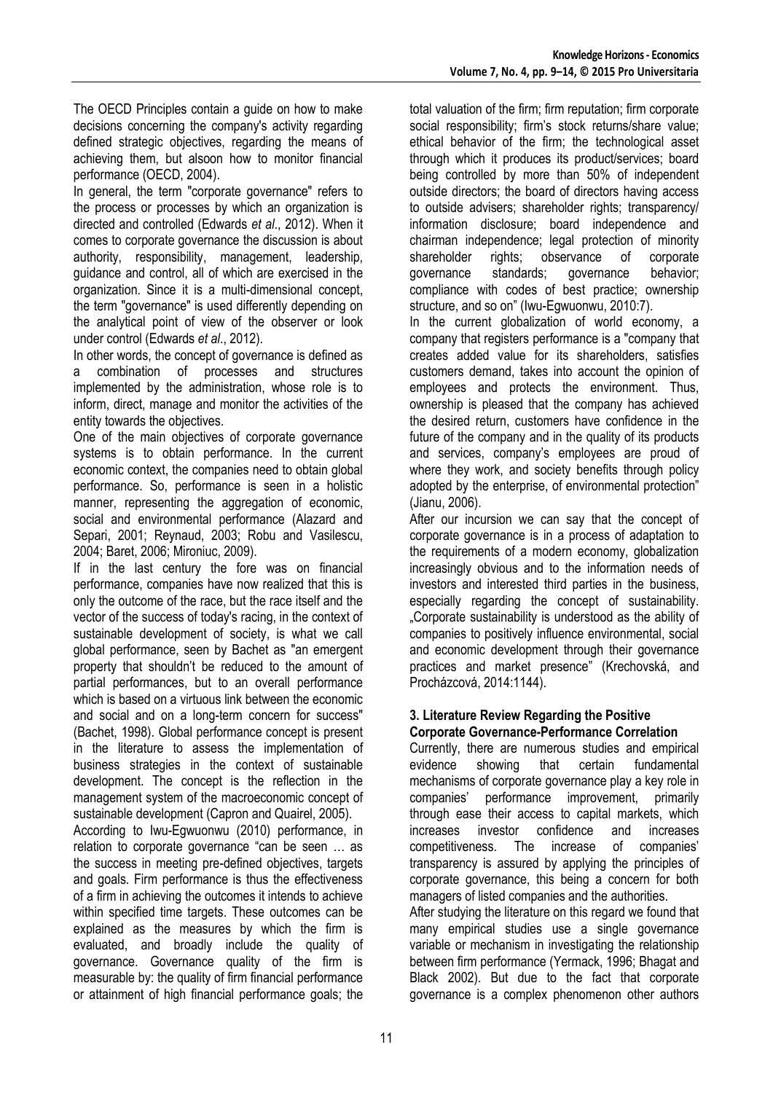The OECD Principles contain a guide on how to make decisions concerning the company's activity regarding defined strategic objectives, regarding the means of achieving them, but alsoon how to monitor financial performance (OECD, 2004).

In general, the term "corporate governance" refers to the process or processes by which an organization is directed and controlled (Edwards *et al*., 2012). When it comes to corporate governance the discussion is about authority, responsibility, management, leadership, guidance and control, all of which are exercised in the organization. Since it is a multi-dimensional concept, the term "governance" is used differently depending on the analytical point of view of the observer or look under control (Edwards *et al*., 2012).

In other words, the concept of governance is defined as a combination of processes and structures implemented by the administration, whose role is to inform, direct, manage and monitor the activities of the entity towards the objectives.

One of the main objectives of corporate governance systems is to obtain performance. In the current economic context, the companies need to obtain global performance. So, performance is seen in a holistic manner, representing the aggregation of economic, social and environmental performance (Alazard and Separi, 2001; Reynaud, 2003; Robu and Vasilescu, 2004; Baret, 2006; Mironiuc, 2009).

If in the last century the fore was on financial performance, companies have now realized that this is only the outcome of the race, but the race itself and the vector of the success of today's racing, in the context of sustainable development of society, is what we call global performance, seen by Bachet as "an emergent property that shouldn"t be reduced to the amount of partial performances, but to an overall performance which is based on a virtuous link between the economic and social and on a long-term concern for success" (Bachet, 1998). Global performance concept is present in the literature to assess the implementation of business strategies in the context of sustainable development. The concept is the reflection in the management system of the macroeconomic concept of sustainable development (Capron and Quairel, 2005).

According to Iwu-Egwuonwu (2010) performance, in relation to corporate governance "can be seen … as the success in meeting pre-defined objectives, targets and goals. Firm performance is thus the effectiveness of a firm in achieving the outcomes it intends to achieve within specified time targets. These outcomes can be explained as the measures by which the firm is evaluated, and broadly include the quality of governance. Governance quality of the firm is measurable by: the quality of firm financial performance or attainment of high financial performance goals; the

total valuation of the firm; firm reputation; firm corporate social responsibility; firm's stock returns/share value; ethical behavior of the firm; the technological asset through which it produces its product/services; board being controlled by more than 50% of independent outside directors; the board of directors having access to outside advisers; shareholder rights; transparency/ information disclosure; board independence and chairman independence; legal protection of minority shareholder rights; observance of corporate governance standards; governance behavior; compliance with codes of best practice; ownership structure, and so on" (Iwu-Egwuonwu, 2010:7).

In the current globalization of world economy, a company that registers performance is a "company that creates added value for its shareholders, satisfies customers demand, takes into account the opinion of employees and protects the environment. Thus, ownership is pleased that the company has achieved the desired return, customers have confidence in the future of the company and in the quality of its products and services, company"s employees are proud of where they work, and society benefits through policy adopted by the enterprise, of environmental protection" (Jianu, 2006).

After our incursion we can say that the concept of corporate governance is in a process of adaptation to the requirements of a modern economy, globalization increasingly obvious and to the information needs of investors and interested third parties in the business, especially regarding the concept of sustainability. "Corporate sustainability is understood as the ability of companies to positively influence environmental, social and economic development through their governance practices and market presence" (Krechovská, and Procházcová, 2014:1144).

### **3. Literature Review Regarding the Positive Corporate Governance-Performance Correlation**

Currently, there are numerous studies and empirical evidence showing that certain fundamental mechanisms of corporate governance play a key role in companies" performance improvement, primarily through ease their access to capital markets, which increases investor confidence and increases competitiveness. The increase of companies" transparency is assured by applying the principles of corporate governance, this being a concern for both managers of listed companies and the authorities.

After studying the literature on this regard we found that many empirical studies use a single governance variable or mechanism in investigating the relationship between firm performance (Yermack, 1996; Bhagat and Black 2002). But due to the fact that corporate governance is a complex phenomenon other authors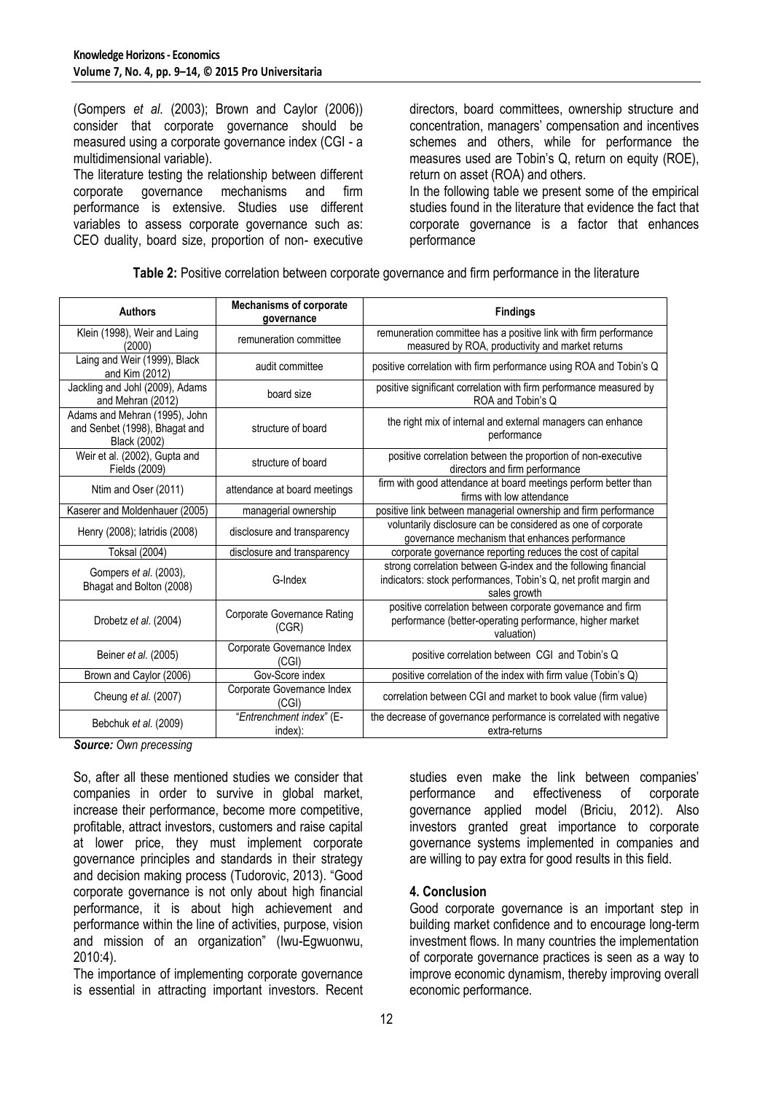(Gompers *et al.* (2003); Brown and Caylor (2006)) consider that corporate governance should be measured using a corporate governance index (CGI - a multidimensional variable).

The literature testing the relationship between different corporate governance mechanisms and firm corporate governance mechanisms and firm performance is extensive. Studies use different variables to assess corporate governance such as: CEO duality, board size, proportion of non- executive directors, board committees, ownership structure and concentration, managers" compensation and incentives schemes and others, while for performance the measures used are Tobin"s Q, return on equity (ROE), return on asset (ROA) and others.

In the following table we present some of the empirical studies found in the literature that evidence the fact that corporate governance is a factor that enhances performance

**Table 2:** Positive correlation between corporate governance and firm performance in the literature

| <b>Authors</b>                                                                 | <b>Mechanisms of corporate</b><br>governance | <b>Findings</b>                                                                                                                                    |
|--------------------------------------------------------------------------------|----------------------------------------------|----------------------------------------------------------------------------------------------------------------------------------------------------|
| Klein (1998), Weir and Laing<br>(2000)                                         | remuneration committee                       | remuneration committee has a positive link with firm performance<br>measured by ROA, productivity and market returns                               |
| Laing and Weir (1999), Black<br>and Kim (2012)                                 | audit committee                              | positive correlation with firm performance using ROA and Tobin's Q                                                                                 |
| Jackling and Johl (2009), Adams<br>and Mehran (2012)                           | board size                                   | positive significant correlation with firm performance measured by<br>ROA and Tobin's Q                                                            |
| Adams and Mehran (1995), John<br>and Senbet (1998), Bhagat and<br>Black (2002) | structure of board                           | the right mix of internal and external managers can enhance<br>performance                                                                         |
| Weir et al. (2002), Gupta and<br>Fields (2009)                                 | structure of board                           | positive correlation between the proportion of non-executive<br>directors and firm performance                                                     |
| Ntim and Oser (2011)                                                           | attendance at board meetings                 | firm with good attendance at board meetings perform better than<br>firms with low attendance                                                       |
| Kaserer and Moldenhauer (2005)                                                 | managerial ownership                         | positive link between managerial ownership and firm performance                                                                                    |
| Henry (2008); latridis (2008)                                                  | disclosure and transparency                  | voluntarily disclosure can be considered as one of corporate<br>governance mechanism that enhances performance                                     |
| <b>Toksal (2004)</b>                                                           | disclosure and transparency                  | corporate governance reporting reduces the cost of capital                                                                                         |
| Gompers et al. (2003),<br>Bhagat and Bolton (2008)                             | G-Index                                      | strong correlation between G-index and the following financial<br>indicators: stock performances, Tobin's Q, net profit margin and<br>sales growth |
| Drobetz et al. (2004)                                                          | <b>Corporate Governance Rating</b><br>(CGR)  | positive correlation between corporate governance and firm<br>performance (better-operating performance, higher market<br>valuation)               |
| Beiner et al. (2005)                                                           | Corporate Governance Index<br>(CGI)          | positive correlation between CGI and Tobin's Q                                                                                                     |
| Brown and Caylor (2006)                                                        | Gov-Score index                              | positive correlation of the index with firm value (Tobin's Q)                                                                                      |
| Cheung et al. (2007)                                                           | Corporate Governance Index<br>(CGI)          | correlation between CGI and market to book value (firm value)                                                                                      |
| Bebchuk et al. (2009)                                                          | "Entrenchment index" (E-<br>index):          | the decrease of governance performance is correlated with negative<br>extra-returns                                                                |

*Source: Own precessing*

So, after all these mentioned studies we consider that companies in order to survive in global market, increase their performance, become more competitive, profitable, attract investors, customers and raise capital at lower price, they must implement corporate governance principles and standards in their strategy and decision making process (Tudorovic, 2013). "Good corporate governance is not only about high financial performance, it is about high achievement and performance within the line of activities, purpose, vision and mission of an organization" (Iwu-Egwuonwu, 2010:4).

The importance of implementing corporate governance is essential in attracting important investors. Recent studies even make the link between companies' performance and effectiveness of corporate governance applied model (Briciu, 2012). Also investors granted great importance to corporate governance systems implemented in companies and are willing to pay extra for good results in this field.

### **4. Conclusion**

Good corporate governance is an important step in building market confidence and to encourage long-term investment flows. In many countries the implementation of corporate governance practices is seen as a way to improve economic dynamism, thereby improving overall economic performance.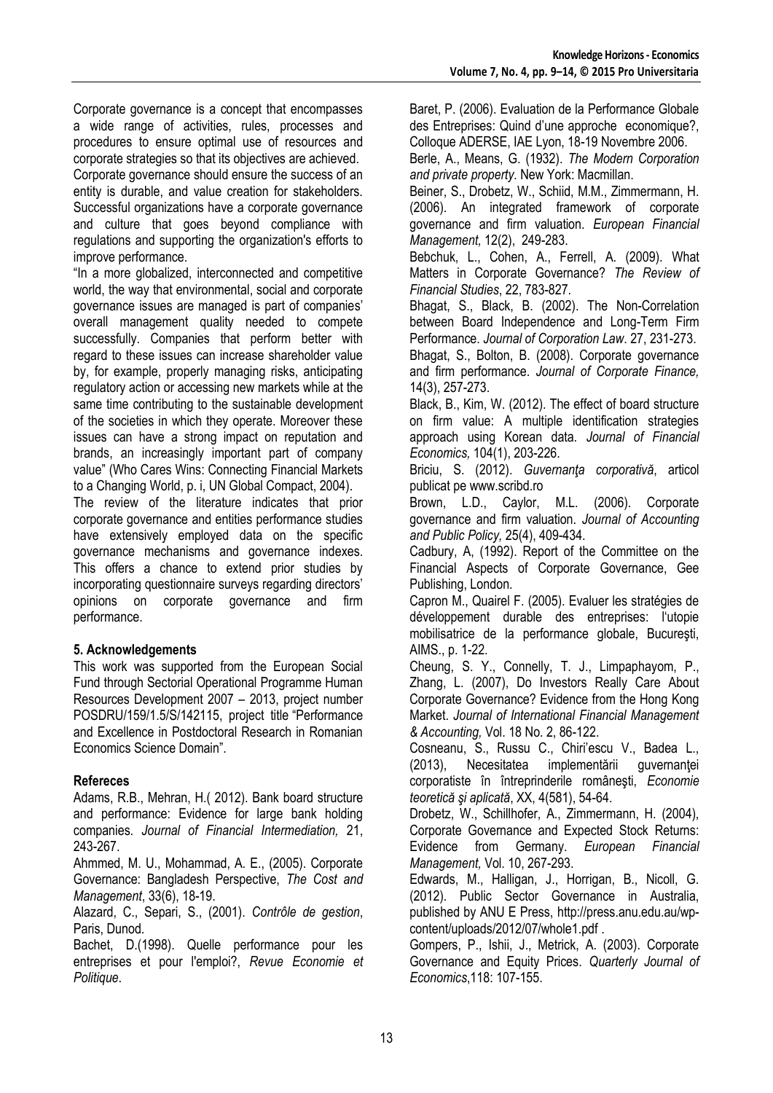Corporate governance is a concept that encompasses a wide range of activities, rules, processes and procedures to ensure optimal use of resources and corporate strategies so that its objectives are achieved. Corporate governance should ensure the success of an entity is durable, and value creation for stakeholders. Successful organizations have a corporate governance and culture that goes beyond compliance with regulations and supporting the organization's efforts to improve performance.

"In a more globalized, interconnected and competitive world, the way that environmental, social and corporate governance issues are managed is part of companies" overall management quality needed to compete successfully. Companies that perform better with regard to these issues can increase shareholder value by, for example, properly managing risks, anticipating regulatory action or accessing new markets while at the same time contributing to the sustainable development of the societies in which they operate. Moreover these issues can have a strong impact on reputation and brands, an increasingly important part of company value" (Who Cares Wins: Connecting Financial Markets to a Changing World, p. i, UN Global Compact, 2004).

The review of the literature indicates that prior corporate governance and entities performance studies have extensively employed data on the specific governance mechanisms and governance indexes. This offers a chance to extend prior studies by incorporating questionnaire surveys regarding directors' opinions on corporate governance and firm performance.

### **5. Acknowledgements**

This work was supported from the European Social Fund through Sectorial Operational Programme Human Resources Development 2007 – 2013, project number POSDRU/159/1.5/S/142115, project title "Performance and Excellence in Postdoctoral Research in Romanian Economics Science Domain".

### **Refereces**

Adams, R.B., Mehran, H.( 2012). Bank board structure and performance: Evidence for large bank holding companies. *Journal of Financial Intermediation,* 21, 243-267.

Ahmmed, M. U., Mohammad, A. E., (2005). Corporate Governance: Bangladesh Perspective, *The Cost and Management*, 33(6), 18-19.

Alazard, C., Separi, S., (2001). *Contrôle de gestion*, Paris, Dunod.

Bachet, D.(1998). Quelle performance pour les entreprises et pour l'emploi?, *Revue Economie et Politique*.

Baret, P. (2006). Evaluation de la Performance Globale des Entreprises: Quind d"une approche economique?, Colloque ADERSE, IAE Lyon, 18-19 Novembre 2006.

Berle, A., Means, G. (1932). *The Modern Corporation and private property.* New York: Macmillan.

Beiner, S., Drobetz, W., Schiid, M.M., Zimmermann, H. (2006). An integrated framework of corporate governance and firm valuation. *European Financial Management,* 12(2), 249-283.

Bebchuk, L., Cohen, A., Ferrell, A. (2009). What Matters in Corporate Governance? *The Review of Financial Studies*, 22, 783-827.

Bhagat, S., Black, B. (2002). The Non-Correlation between Board Independence and Long-Term Firm Performance. *Journal of Corporation Law*. 27, 231-273. Bhagat, S., Bolton, B. (2008). Corporate governance and firm performance. *Journal of Corporate Finance,*  14(3), 257-273.

Black, B., Kim, W. (2012). The effect of board structure on firm value: A multiple identification strategies approach using Korean data. *Journal of Financial Economics,* 104(1), 203-226.

Briciu, S. (2012). *Guvernanţa corporativă*, articol publicat pe [www.scribd.ro](http://www.scribd.ro/)

Brown, L.D., Caylor, M.L. (2006). Corporate governance and firm valuation. *Journal of Accounting and Public Policy,* 25(4), 409-434.

Cadbury, A, (1992). Report of the Committee on the Financial Aspects of Corporate Governance, Gee Publishing, London.

Capron M., Quairel F. (2005). Evaluer les stratégies de développement durable des entreprises: l'utopie mobilisatrice de la performance globale, Bucureşti, AIMS., p. 1-22.

Cheung, S. Y., Connelly, T. J., Limpaphayom, P., Zhang, L. (2007), Do Investors Really Care About Corporate Governance? Evidence from the Hong Kong Market. *Journal of International Financial Management & Accounting,* Vol. 18 No. 2, 86-122.

Cosneanu, S., Russu C., Chiri"escu V., Badea L., (2013), Necesitatea implementării guvernantei corporatiste în întreprinderile româneşti, *Economie teoretică şi aplicată*, XX, 4(581), 54-64.

Drobetz, W., Schillhofer, A., Zimmermann, H. (2004), Corporate Governance and Expected Stock Returns: Evidence from Germany. *European Financial Management,* Vol. 10, 267-293.

Edwards, M., Halligan, J., Horrigan, B., Nicoll, G. (2012). Public Sector Governance in Australia, published by ANU E Press, [http://press.anu.edu.au/wp](http://press.anu.edu.au/wp-content/uploads/2012/07/whole1.pdf)[content/uploads/2012/07/whole1.pdf](http://press.anu.edu.au/wp-content/uploads/2012/07/whole1.pdf) .

Gompers, P., Ishii, J., Metrick, A. (2003). Corporate Governance and Equity Prices. *Quarterly Journal of Economics*,118: 107-155.